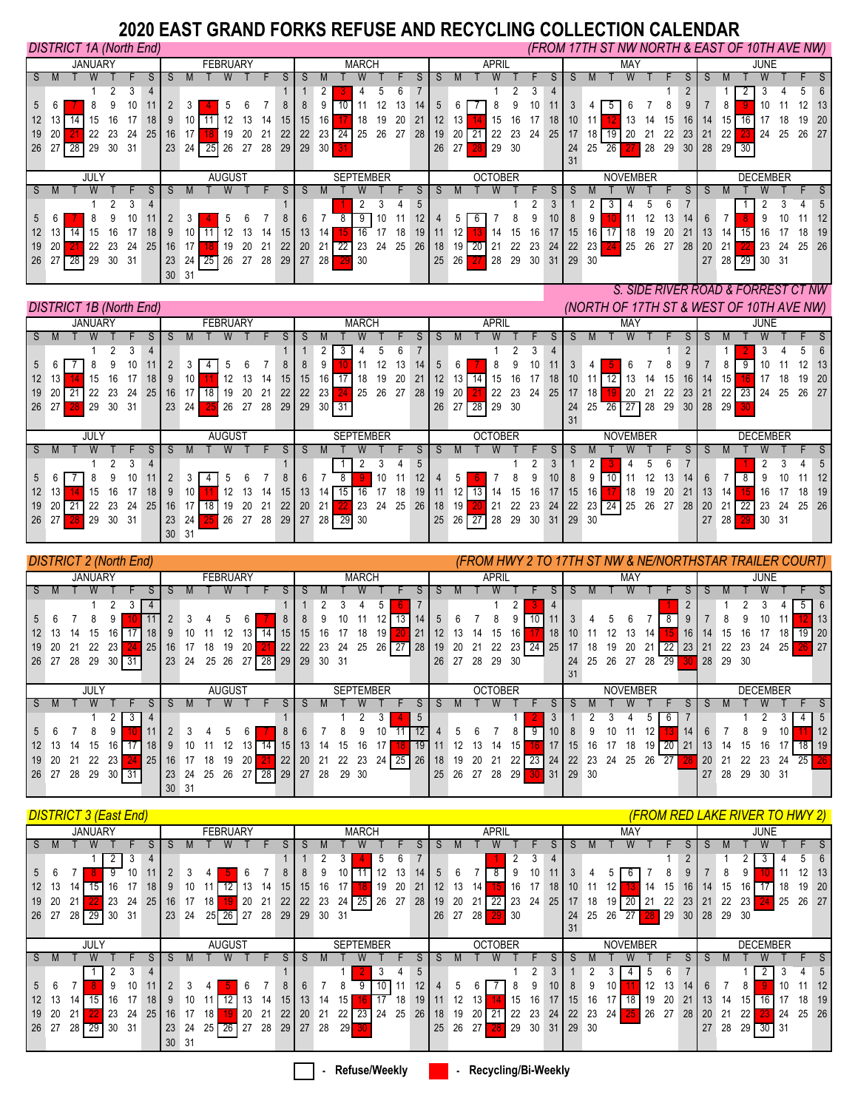## **2020 EAST GRAND FORKS REFUSE AND RECYCLING COLLECTION CALENDAR**

|                  |       | <b>DISTRICT 1A (North End)</b> |    |      |                 |    |                 |                 |        |     |    |    |    |           |                  |              |     |    |                 |    |                 |    |                |      |    |                 |                 |       |    |                 |    |     |           |              |    | (FROM 17TH ST NW NORTH & EAST OF 10TH AVE NW) |         |                 |       |    |
|------------------|-------|--------------------------------|----|------|-----------------|----|-----------------|-----------------|--------|-----|----|----|----|-----------|------------------|--------------|-----|----|-----------------|----|-----------------|----|----------------|------|----|-----------------|-----------------|-------|----|-----------------|----|-----|-----------|--------------|----|-----------------------------------------------|---------|-----------------|-------|----|
|                  |       | <b>JANUARY</b>                 |    |      |                 |    |                 | <b>FEBRUARY</b> |        |     |    |    |    |           |                  | <b>MARCH</b> |     |    |                 |    |                 |    | <b>APRIL</b>   |      |    |                 |                 |       |    | MAY             |    |     |           |              |    |                                               | JUNE    |                 |       |    |
|                  |       |                                |    |      |                 |    |                 |                 |        |     |    |    |    |           |                  |              |     |    |                 |    |                 |    |                |      |    |                 |                 |       |    |                 |    |     |           |              |    |                                               |         |                 |       |    |
|                  |       |                                |    |      | 4               |    |                 |                 |        |     |    |    |    |           |                  |              |     | 6  |                 |    |                 |    |                |      |    | 4               |                 |       |    |                 |    |     |           |              |    |                                               |         |                 |       | 6  |
|                  |       |                                |    | 10   |                 |    |                 |                 |        |     |    | 8  |    |           |                  |              | 12  | 13 | 14              |    |                 |    |                |      | 10 | 11              |                 |       |    |                 |    | ŏ   |           |              | 8  |                                               | 10      |                 |       | 13 |
| 12 <sup>12</sup> |       | 15                             |    |      | 18              | 9  |                 |                 |        | 13  | 14 | 15 | 15 | 16        |                  | 18           | 19  | 20 | 21              | 12 | 13              |    | 15             | 16   | 17 | 18 <sup>1</sup> | 10 <sup>°</sup> |       |    | 13              | 14 | 15  | 16 I      | 14           | 15 |                                               |         | 18              | 19    | 20 |
| 19               | 20    | 22                             | 23 | 24   | 25              | 16 |                 |                 | 19     | 20  | 21 | 22 | 22 | 23        | -24              | 25           | 26  | 27 | 28              | 19 | 20              |    |                | 23   | 24 | 25              |                 |       | 19 | 20              |    | 22  | 23        | 21           | 22 |                                               | 24      | 25              | 26 27 |    |
|                  | 26 27 | 29<br>28                       | 30 | -31  |                 | 23 | 24              | 25 26           |        | -27 | 28 | 29 | 29 | 30        |                  |              |     |    |                 | 26 | 27              | 28 | 29             | - 30 |    |                 | 24              | 25    | 26 |                 | 28 | 29  |           | $30 \mid 28$ |    | 29 30                                         |         |                 |       |    |
|                  |       |                                |    |      |                 |    |                 |                 |        |     |    |    |    |           |                  |              |     |    |                 |    |                 |    |                |      |    |                 | 31              |       |    |                 |    |     |           |              |    |                                               |         |                 |       |    |
|                  |       |                                |    |      |                 |    |                 |                 |        |     |    |    |    |           |                  |              |     |    |                 |    |                 |    |                |      |    |                 |                 |       |    |                 |    |     |           |              |    |                                               |         |                 |       |    |
|                  |       | JULY                           |    |      |                 |    |                 |                 | AUGUST |     |    |    |    |           | <b>SEPTEMBER</b> |              |     |    |                 |    |                 |    | <b>OCTOBER</b> |      |    |                 |                 |       |    | <b>NOVEMBER</b> |    |     |           |              |    |                                               |         | <b>DECEMBER</b> |       |    |
|                  |       |                                |    |      |                 |    |                 |                 |        |     |    |    |    |           |                  |              |     |    |                 |    |                 |    |                |      |    |                 |                 |       |    |                 |    |     |           |              |    |                                               |         |                 |       |    |
|                  |       |                                |    | 3    |                 |    |                 |                 |        |     |    |    |    |           |                  | 2            |     |    | 5               |    |                 |    |                |      |    | 3               |                 |       |    |                 |    |     |           |              |    |                                               |         |                 |       | 5  |
| 5                |       |                                |    | 10   |                 |    | 3               |                 |        |     |    | 8  |    |           |                  | -9           | 10  |    | 12 <sub>1</sub> |    | 5               |    |                |      |    | 10 <sup>°</sup> |                 |       |    |                 | 12 | 13  | 14        |              |    |                                               | 9       |                 |       | 12 |
| 12 <sup>2</sup>  |       |                                |    |      | 18              | 9  |                 |                 |        | 13  | 14 | 15 | 13 | 14        |                  | 16           | 17  | 18 | 19              |    |                 |    | 14             | 15   | 16 | 17              | 15              | 16    |    | 18              | 19 | 20  | 21        | -13          | 14 |                                               |         |                 | 18    | 19 |
| 19               | -20   | 22                             | 23 | 24   | 25 <sup>1</sup> | 16 |                 |                 | 19     | 20  | 21 | 22 | 20 | 21        | 22               | 23           | -24 | 25 | 26              | 18 | 19              |    |                | 22   | 23 | 24              | 22              | 23    |    | 25              | 26 | -27 | <b>28</b> | 20           | 21 |                                               | 23      | 24              | 25 26 |    |
| 26               | -27   | 29<br>28                       | 30 | - 31 |                 | 23 | 24 <sup>1</sup> | 25              | 26     | -27 | 28 | 29 | 27 | <b>28</b> |                  | -30          |     |    |                 | 25 | 26 <sub>1</sub> |    | 28             | 29   | 30 | 31              |                 | 29 30 |    |                 |    |     |           | 27           |    | 28 29                                         | ∏ 30 31 |                 |       |    |

|                 |     |                                |          |      |    |                |     |    |                 |    |    |                 |                   |    |                    |                |    |    |     |    |                 |                    |                |    |    |                 |                 |           |                 |     |    |    |                 |    |              |      | S. SIDE RIVER ROAD & FORREST CT NW       |    |       |    |
|-----------------|-----|--------------------------------|----------|------|----|----------------|-----|----|-----------------|----|----|-----------------|-------------------|----|--------------------|----------------|----|----|-----|----|-----------------|--------------------|----------------|----|----|-----------------|-----------------|-----------|-----------------|-----|----|----|-----------------|----|--------------|------|------------------------------------------|----|-------|----|
|                 |     | <b>DISTRICT 1B (North End)</b> |          |      |    |                |     |    |                 |    |    |                 |                   |    |                    |                |    |    |     |    |                 |                    |                |    |    |                 |                 |           |                 |     |    |    |                 |    |              |      | (NORTH OF 17TH ST & WEST OF 10TH AVE NW) |    |       |    |
|                 |     | <b>JANUARY</b>                 |          |      |    |                |     |    | <b>FEBRUARY</b> |    |    |                 |                   |    |                    | <b>MARCH</b>   |    |    |     |    |                 |                    | <b>APRIL</b>   |    |    |                 |                 |           |                 | MAY |    |    |                 |    |              |      | JUNE                                     |    |       |    |
|                 |     |                                |          |      |    |                |     |    |                 |    |    |                 |                   |    |                    |                |    |    |     |    |                 |                    |                |    |    |                 |                 |           |                 |     |    |    |                 |    |              |      |                                          |    |       |    |
|                 |     |                                |          | 3    | 4  |                |     |    |                 |    |    |                 |                   |    | 3                  |                | .h | 6  |     |    |                 |                    |                |    | 3  | 4               |                 |           |                 |     |    |    |                 |    |              |      |                                          |    |       | 6  |
|                 |     |                                |          | 10   |    |                | 3   |    |                 |    |    | 8               |                   | 9  |                    |                | 12 | 13 | 14  | 5  | 6               |                    |                |    | 10 | 11              |                 |           |                 | հ   |    |    |                 |    | 8            | 9    |                                          |    |       | 13 |
| 12 <sup>2</sup> |     |                                | 15       | 17   | 18 | 9              | 10  |    | 12              | 13 | 14 | 15 <sup>1</sup> | 15                | 16 |                    | 18             | 19 | 20 | 21  | 12 | 13              |                    |                | 16 | 17 | 18              | 10 <sup>1</sup> |           |                 |     | 14 | 15 | 16              | 14 | 15           |      |                                          | 18 | 19    | 20 |
| 19              |     |                                | 23<br>22 | 24   | 25 | 16             |     |    |                 | 20 | 21 | 22              | $22 \overline{ }$ | 23 |                    | 25             | 26 | 27 | -28 | 19 | 20              |                    | 22             | 23 | 24 | 25              | 17              | 18        |                 | 20  |    | 22 | 23              | 21 | $22 \square$ | - 23 | 24                                       | 25 | 26 27 |    |
| 26              | -27 | 28                             | 29<br>30 | - 31 |    | 23             | 24  | 25 | 26              | 27 | 28 | 29              | 29                |    | $30 \overline{31}$ |                |    |    |     | 26 | 27 <sub>l</sub> | 28 29              |                | 30 |    |                 | 24              | 25        | 26 27 28        |     |    | 29 | 30 <sup>°</sup> | 28 | -29          |      |                                          |    |       |    |
|                 |     |                                |          |      |    |                |     |    |                 |    |    |                 |                   |    |                    |                |    |    |     |    |                 |                    |                |    |    |                 | 31              |           |                 |     |    |    |                 |    |              |      |                                          |    |       |    |
|                 |     | JULY                           |          |      |    |                |     |    | <b>AUGUST</b>   |    |    |                 |                   |    | <b>SEPTEMBER</b>   |                |    |    |     |    |                 |                    | <b>OCTOBER</b> |    |    |                 |                 |           | <b>NOVEMBER</b> |     |    |    |                 |    |              |      | <b>DECEMBER</b>                          |    |       |    |
|                 |     |                                |          |      |    |                |     |    |                 |    |    |                 |                   |    |                    |                |    |    |     |    |                 |                    |                |    |    |                 |                 |           |                 |     |    |    |                 |    |              |      |                                          |    |       |    |
|                 |     |                                | C.       |      | 4  |                |     |    |                 |    |    |                 |                   |    |                    | $\overline{2}$ |    |    | 5   |    |                 |                    |                |    |    | 3               |                 | 2         |                 |     |    |    |                 |    |              |      | $\sim$                                   |    |       | 5  |
| 5 <sup>7</sup>  |     |                                |          | 10   |    | $\overline{2}$ | 3   | -4 |                 |    |    | 8               |                   |    |                    |                | 10 |    | 12  |    | 5               |                    |                |    |    | 10 <sup>°</sup> |                 | 9         |                 |     |    | 13 | 14              | 6  |              |      |                                          | 10 |       | 12 |
| 12 <sup>2</sup> |     |                                | 16<br>15 |      | 18 | 9              | 10  |    |                 | 13 | 14 | 15 <sup>1</sup> | 13 <sup>°</sup>   | 14 | 15                 |                | 17 | 18 | 19  |    |                 |                    |                | 15 | 16 | 17              | 15              | 16        |                 | 18  | 19 | 20 |                 | 13 | 14           |      | 16                                       |    | 18    | 19 |
| 19              |     |                                | 23<br>22 | 24   | 25 | 16             |     | 18 | 19              | 20 | 21 | 22              | 20                | 21 |                    | 23             | 24 | 25 | 26  | 18 | 19              |                    | 21             | 22 | 23 | 24              | 22              | $23 \ 24$ |                 | 25  | 26 | 27 | 28              | 20 | 21           | 22   | 23                                       | 24 | 25    | 26 |
| 26              | -27 | 29<br>28                       | 30       | -31  |    | 23             | 24  |    | 26              | 27 | 28 |                 | $29$ 27           | 28 | 29 30              |                |    |    |     | 25 |                 | $26 \overline{27}$ | 28             | 29 | 30 | 31              | 29 30           |           |                 |     |    |    |                 | 27 | 28           |      | 30                                       | 31 |       |    |
|                 |     |                                |          |      |    | 30             | -31 |    |                 |    |    |                 |                   |    |                    |                |    |    |     |    |                 |                    |                |    |    |                 |                 |           |                 |     |    |    |                 |    |              |      |                                          |    |       |    |

|       |     |    |                |                 | <b>DISTRICT 2 (North End)</b> |           |    |    |    |                 |                 |                         |                 |              |    |                  |              |    |                       |    |       |    |                |    | (FROM HWY 2 TO 17TH ST NW & NE/NORTHSTAR TRAILER COURT) |                 |       |    |                 |     |    |                 |    |    |    |       |                 |    |       |       |
|-------|-----|----|----------------|-----------------|-------------------------------|-----------|----|----|----|-----------------|-----------------|-------------------------|-----------------|--------------|----|------------------|--------------|----|-----------------------|----|-------|----|----------------|----|---------------------------------------------------------|-----------------|-------|----|-----------------|-----|----|-----------------|----|----|----|-------|-----------------|----|-------|-------|
|       |     |    | <b>JANUARY</b> |                 |                               |           |    |    |    | <b>FEBRUARY</b> |                 |                         |                 |              |    |                  | <b>MARCH</b> |    |                       |    |       |    | <b>APRIL</b>   |    |                                                         |                 |       |    |                 | MAY |    |                 |    |    |    |       | JUNE            |    |       |       |
|       |     |    |                |                 |                               |           |    |    |    |                 |                 |                         |                 |              |    |                  |              |    |                       |    |       |    |                |    |                                                         |                 |       |    |                 |     |    |                 |    |    |    |       |                 |    |       |       |
|       |     |    |                |                 |                               | -4        |    |    |    |                 |                 |                         |                 |              |    |                  |              |    |                       |    |       |    |                |    |                                                         | $\overline{4}$  |       |    |                 |     |    |                 | -2 |    |    |       |                 |    |       | 6     |
|       |     |    |                |                 |                               |           |    |    |    |                 |                 |                         | 8               |              |    |                  |              | 12 | 13                    | 14 |       |    |                | 9  | 10                                                      |                 |       |    |                 |     |    |                 |    |    |    |       | 10              |    |       | 13    |
|       |     |    | 15             |                 | $16$   $17$                   | 18        |    |    |    | 12              | 13 <sub>1</sub> | $\overline{14}$         | 15 <sup>1</sup> | 15           | 16 | 17               | 18           | 19 | 21                    |    |       | 13 | 15             | 16 |                                                         | 18              |       |    |                 | 13  | 14 |                 | 16 | 14 | 15 | 16    |                 | 18 |       | 19 20 |
|       |     |    | 22             | 23 I            |                               | 25        | 16 |    | 18 | 19              | 20              |                         |                 | $22 \mid 22$ | 23 | 24               | 25           |    | 26 27 28              |    | 19    | 20 | 22<br>21       | 23 | 24                                                      | 25              | 17    | 18 | 19              | 20  |    | $\overline{22}$ | 23 | 21 | 22 | 23    | 24              | 25 |       | 27    |
| 26 27 |     | 28 | 29             |                 | 30 $\sqrt{31}$                |           | 23 | 24 |    |                 |                 | 25 26 27 28 29 29 30 31 |                 |              |    |                  |              |    |                       |    | 26 27 |    | 28 29 30       |    |                                                         |                 | 24    | 25 | 26 27 28        |     |    | 29 I            |    | 28 |    | 29 30 |                 |    |       |       |
|       |     |    |                |                 |                               |           |    |    |    |                 |                 |                         |                 |              |    |                  |              |    |                       |    |       |    |                |    |                                                         |                 | 31    |    |                 |     |    |                 |    |    |    |       |                 |    |       |       |
|       |     |    |                |                 |                               |           |    |    |    |                 |                 |                         |                 |              |    |                  |              |    |                       |    |       |    |                |    |                                                         |                 |       |    |                 |     |    |                 |    |    |    |       |                 |    |       |       |
|       |     |    | JULY           |                 |                               |           |    |    |    | <b>AUGUST</b>   |                 |                         |                 |              |    | <b>SEPTEMBER</b> |              |    |                       |    |       |    | <b>OCTOBER</b> |    |                                                         |                 |       |    | <b>NOVEMBER</b> |     |    |                 |    |    |    |       | <b>DECEMBER</b> |    |       |       |
|       |     |    |                |                 |                               |           |    |    |    |                 |                 |                         |                 |              |    |                  |              |    |                       |    |       |    |                |    |                                                         |                 |       |    |                 |     |    |                 |    |    |    |       |                 |    |       |       |
|       |     |    |                |                 | 3                             | $\vert$ 4 |    |    |    |                 |                 |                         |                 |              |    |                  |              |    | 5                     |    |       |    |                |    |                                                         |                 |       |    |                 |     |    | -6              |    |    |    |       |                 |    |       | 5     |
|       |     |    |                |                 |                               |           |    |    |    |                 |                 |                         | 8               |              |    |                  | 9            | 10 |                       | 12 |       |    |                |    | 9                                                       | 10 <sup>1</sup> |       |    | 10              |     |    |                 | 14 |    |    |       |                 | 10 |       | 12    |
|       |     | 14 | 15             |                 |                               | 18        |    |    |    | 12              | 13              | 14                      | 15 <sub>l</sub> |              |    | 15               | 16           |    |                       |    |       |    | 13<br>14       | 15 |                                                         |                 | 15    |    |                 | 18  | 19 | $20$ 21         |    | 13 | 14 | 15    | 16              |    | 18 19 |       |
| 19    | -20 |    | 22             | 23 <sup>1</sup> |                               | 25        | 16 |    | 18 | 19              | 20              |                         | $22 \mid$       | 20           | 21 | 22               | 23           |    | $24 \overline{25}$ 26 | 18 |       | 19 | 21<br>20       | 22 | 23                                                      | 24              | 22    | 23 | 24              | 25  | 26 | 27              |    | 20 | 21 | 22    | 23              | 24 | 25    |       |
| 26 27 |     | 28 | 29             |                 | $30 \ 31$                     |           | 23 | 24 | 25 | 26              |                 | 27 28 29 27 28          |                 |              |    |                  | 29 30        |    |                       |    | 25    | 26 | 27<br>28       | 29 | 30 <sup>°</sup>                                         | 31              | 29 30 |    |                 |     |    |                 |    | 27 | 28 | -29   | 30 31           |    |       |       |

|    |                       | <b>DISTRICT 3 (East End)</b> |          |                 |    |    |                 |       |    |                  |    |     |      |                  |    |    |         |    |                 |                |    |    |       |    |    |                 |    |                 |     |    |         | <u>(FROM RED LAKE RIVER TO HWY 2)</u> |    |       |
|----|-----------------------|------------------------------|----------|-----------------|----|----|-----------------|-------|----|------------------|----|-----|------|------------------|----|----|---------|----|-----------------|----------------|----|----|-------|----|----|-----------------|----|-----------------|-----|----|---------|---------------------------------------|----|-------|
|    |                       | <b>JANUARY</b>               |          |                 |    |    | <b>FEBRUARY</b> |       |    |                  |    |     |      | <b>MARCH</b>     |    |    |         |    |                 | <b>APRIL</b>   |    |    |       |    |    | MAY             |    |                 |     |    |         | JUNE                                  |    |       |
|    |                       |                              |          |                 |    |    |                 |       |    |                  |    |     |      |                  |    |    |         |    |                 |                |    |    |       |    |    |                 |    |                 |     |    |         |                                       |    |       |
|    |                       |                              | 3<br>2   | 4               |    |    |                 |       |    |                  |    |     |      | b                |    |    |         |    |                 | $\overline{2}$ |    | 4  |       |    |    |                 |    | 2               |     |    |         |                                       |    | 6     |
| 5  |                       |                              | 10       |                 |    |    |                 |       |    |                  |    |     |      |                  | 13 | 14 |         |    |                 |                | 10 | 11 |       |    |    |                 |    |                 |     |    |         |                                       | 12 | 13    |
|    | 13<br>12 <sup>°</sup> | 14                           | 16       | 18              |    |    |                 |       |    | 15               | 15 | 16  |      | 19               | 20 | 21 |         | 13 |                 | 16             | 17 | 18 | 10    |    |    | 14              |    | 15<br>16        | 14  | 15 |         |                                       | 19 | 20    |
|    | 20<br>19              |                              | 23<br>24 | 25              |    |    | 18              | 20    | 21 | 22               | 22 | 23  | 24   | 26<br>25         | 27 | 28 | 19      | 20 |                 | 23             | 24 | 25 | 17    | 18 | 19 |                 | 22 | 23              | 21  | 22 | 23      | 25                                    | 26 | 27    |
|    | 26<br>-27             | -29<br>28 I                  | 30 31    |                 | 23 | 24 | 25              | 26 27 | 28 | 29               | 29 | 30  | - 31 |                  |    |    | 26      | 27 | 28              | 30             |    |    | 24    | 25 | 26 | -27 1<br>28 I   | 29 | 30 <sup>1</sup> | 28  | 29 | -30     |                                       |    |       |
|    |                       |                              |          |                 |    |    |                 |       |    |                  |    |     |      |                  |    |    |         |    |                 |                |    |    | 31    |    |    |                 |    |                 |     |    |         |                                       |    |       |
|    |                       |                              |          |                 |    |    | AUGUST          |       |    |                  |    |     |      | <b>SEPTEMBER</b> |    |    |         |    |                 | <b>OCTOBER</b> |    |    |       |    |    | <b>NOVEMBER</b> |    |                 |     |    |         | <b>DECEMBER</b>                       |    |       |
|    |                       | JULY                         |          |                 |    |    |                 |       |    |                  |    |     |      |                  |    |    |         |    |                 |                |    |    |       |    |    |                 |    |                 |     |    |         |                                       |    |       |
|    |                       |                              |          |                 |    |    |                 |       |    |                  |    |     |      |                  |    |    |         |    |                 |                |    |    |       |    |    |                 |    |                 |     |    |         |                                       |    |       |
|    |                       |                              | 3        | 4               |    |    |                 |       |    |                  |    |     |      | 3                | 4  | 5  |         |    |                 |                |    | 3  |       |    |    |                 |    |                 |     |    |         |                                       |    | 5     |
| 5  |                       |                              | 10<br>9  |                 |    |    |                 |       |    |                  |    |     |      | 10               |    |    |         |    |                 |                | 9  | 10 | 8     | 9  | 10 | 12              |    | 13<br>14        |     |    |         | 10                                    |    | 12    |
|    | 13<br>12 <sup>2</sup> |                              | 16       | 18              |    |    |                 |       |    | 15 <sup>15</sup> | 13 | 14  |      |                  | 18 | 19 |         |    | 13              | 15             | 16 | 17 | 15    | 16 |    | 18<br>19        | 20 | 21              | 13  | 14 | 15.     | 16                                    | 18 | 19    |
|    | 20<br>19              |                              | 23<br>24 | 25 <sup>1</sup> | 16 |    | 18              | -20   | 21 | 22               | 20 | -21 | 22   | 24<br>23         | 25 |    | $26$ 18 | 19 | 20 <sub>1</sub> | 22             | 23 | 24 | 22    | 23 | 24 | 26              | 27 | 28              | -20 | 21 | $22 \,$ | 24                                    |    | 25 26 |
| 26 | -27                   | -29<br>28 I                  | 30 31    |                 | 23 | 24 | 25 <sub>1</sub> | 26 27 | 28 | 29               | 27 | 28  | 29   |                  |    |    | 25      | 26 | 27              | 29             | 30 | 31 | 29 30 |    |    |                 |    |                 | 27  | 28 |         | 29 30 31                              |    |       |